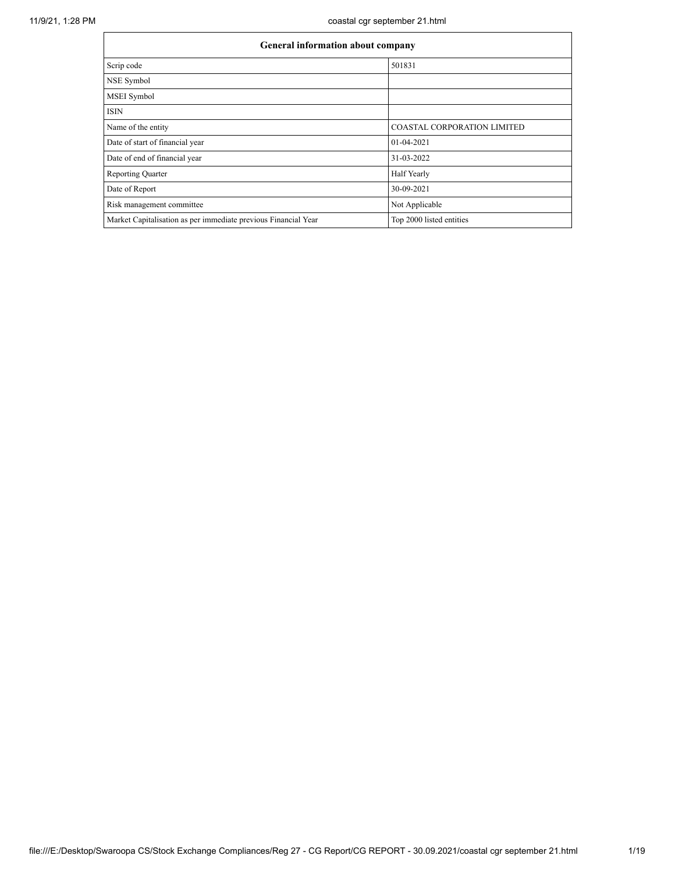| <b>General information about company</b>                       |                                    |  |  |  |  |
|----------------------------------------------------------------|------------------------------------|--|--|--|--|
| Scrip code                                                     | 501831                             |  |  |  |  |
| NSE Symbol                                                     |                                    |  |  |  |  |
| MSEI Symbol                                                    |                                    |  |  |  |  |
| <b>ISIN</b>                                                    |                                    |  |  |  |  |
| Name of the entity                                             | <b>COASTAL CORPORATION LIMITED</b> |  |  |  |  |
| Date of start of financial year                                | 01-04-2021                         |  |  |  |  |
| Date of end of financial year                                  | 31-03-2022                         |  |  |  |  |
| <b>Reporting Quarter</b>                                       | Half Yearly                        |  |  |  |  |
| Date of Report                                                 | 30-09-2021                         |  |  |  |  |
| Risk management committee                                      | Not Applicable                     |  |  |  |  |
| Market Capitalisation as per immediate previous Financial Year | Top 2000 listed entities           |  |  |  |  |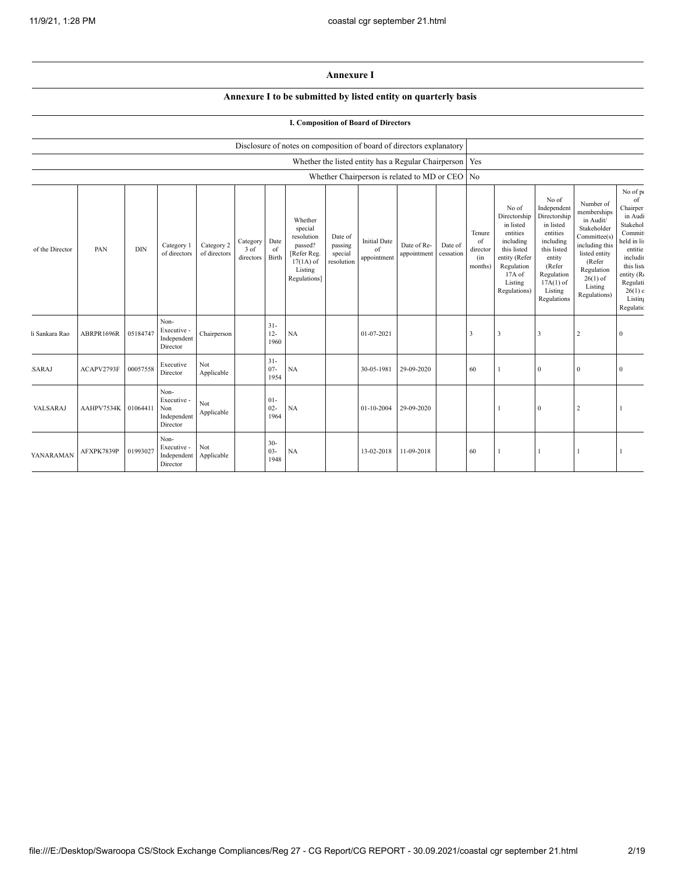## **Annexure I**

## **Annexure I to be submitted by listed entity on quarterly basis**

|                 |            |            |                                                       |                            |                               |                          |                                                                                                      |                                             | <b>I. Composition of Board of Directors</b>               |                            |                      |                                            |                                                                                                                                                |                                                                                                                                                                      |                                                                                                                                                                          |                                                                                                                                                                              |
|-----------------|------------|------------|-------------------------------------------------------|----------------------------|-------------------------------|--------------------------|------------------------------------------------------------------------------------------------------|---------------------------------------------|-----------------------------------------------------------|----------------------------|----------------------|--------------------------------------------|------------------------------------------------------------------------------------------------------------------------------------------------|----------------------------------------------------------------------------------------------------------------------------------------------------------------------|--------------------------------------------------------------------------------------------------------------------------------------------------------------------------|------------------------------------------------------------------------------------------------------------------------------------------------------------------------------|
|                 |            |            |                                                       |                            |                               |                          | Disclosure of notes on composition of board of directors explanatory                                 |                                             |                                                           |                            |                      |                                            |                                                                                                                                                |                                                                                                                                                                      |                                                                                                                                                                          |                                                                                                                                                                              |
|                 |            |            |                                                       |                            |                               |                          |                                                                                                      |                                             | Whether the listed entity has a Regular Chairperson   Yes |                            |                      |                                            |                                                                                                                                                |                                                                                                                                                                      |                                                                                                                                                                          |                                                                                                                                                                              |
|                 |            |            |                                                       |                            |                               |                          |                                                                                                      |                                             | Whether Chairperson is related to MD or CEO No            |                            |                      |                                            |                                                                                                                                                |                                                                                                                                                                      |                                                                                                                                                                          |                                                                                                                                                                              |
| of the Director | PAN        | $\rm{DIN}$ | Category 1<br>of directors                            | Category 2<br>of directors | Category<br>3 of<br>directors | Date<br>of<br>Birth      | Whether<br>special<br>resolution<br>passed?<br>[Refer Reg.<br>$17(1A)$ of<br>Listing<br>Regulations] | Date of<br>passing<br>special<br>resolution | <b>Initial Date</b><br>of<br>appointment                  | Date of Re-<br>appointment | Date of<br>cessation | Tenure<br>of<br>director<br>(in<br>months) | No of<br>Directorship<br>in listed<br>entities<br>including<br>this listed<br>entity (Refer<br>Regulation<br>17A of<br>Listing<br>Regulations) | No of<br>Independent<br>Directorship<br>in listed<br>entities<br>including<br>this listed<br>entity<br>(Refer<br>Regulation<br>$17A(1)$ of<br>Listing<br>Regulations | Number of<br>memberships<br>in Audit/<br>Stakeholder<br>Committee(s)<br>including this<br>listed entity<br>(Refer<br>Regulation<br>$26(1)$ of<br>Listing<br>Regulations) | No of po<br>of<br>Chairper<br>in Audi<br>Stakehol<br>Commit<br>held in lis<br>entitie<br>includir<br>this list<br>entity (R<br>Regulati<br>$26(1)$ c<br>Listing<br>Regulatic |
| i Sankara Rao   | ABRPR1696R | 05184747   | Non-<br>Executive -<br>Independent<br>Director        | Chairperson                |                               | $31 -$<br>$12 -$<br>1960 | NA                                                                                                   |                                             | 01-07-2021                                                |                            |                      | 3                                          | 3                                                                                                                                              | 3                                                                                                                                                                    | 2                                                                                                                                                                        | $\mathbf{0}$                                                                                                                                                                 |
| SARAJ           | ACAPV2793F | 00057558   | Executive<br>Director                                 | Not<br>Applicable          |                               | $31 -$<br>$07 -$<br>1954 | NA                                                                                                   |                                             | 30-05-1981                                                | 29-09-2020                 |                      | 60                                         |                                                                                                                                                | $\mathbf{0}$                                                                                                                                                         | $\Omega$                                                                                                                                                                 | $\theta$                                                                                                                                                                     |
| VALSARAJ        | AAHPV7534K | 01064411   | Non-<br>Executive -<br>Non<br>Independent<br>Director | Not<br>Applicable          |                               | $01 -$<br>$02 -$<br>1964 | NA                                                                                                   |                                             | 01-10-2004                                                | 29-09-2020                 |                      |                                            |                                                                                                                                                | $\mathbf{0}$                                                                                                                                                         | $\overline{2}$                                                                                                                                                           |                                                                                                                                                                              |
| YANARAMAN       | AFXPK7839P | 01993027   | Non-<br>Executive -<br>Independent<br>Director        | Not<br>Applicable          |                               | $30 -$<br>$03 -$<br>1948 | NA                                                                                                   |                                             | 13-02-2018                                                | 11-09-2018                 |                      | 60                                         |                                                                                                                                                | -1                                                                                                                                                                   |                                                                                                                                                                          |                                                                                                                                                                              |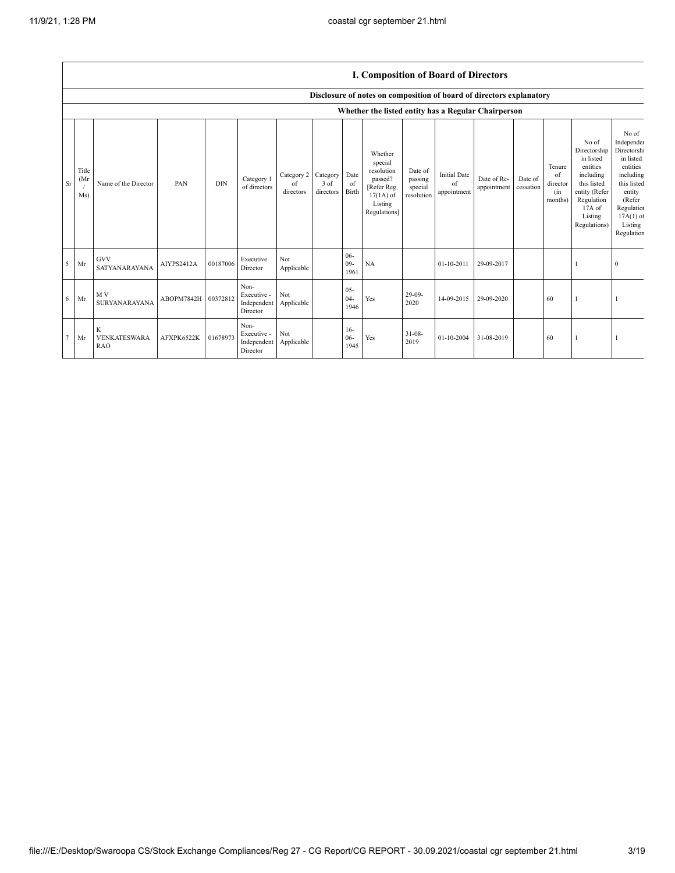|                |                      | r. Composition of Doard of Directors |                     |            |                                                           |                               |                                       |                          |                                                                                                      |                                             |                                          |                            |                      |                                            |                                                                                                                                                |                                                                                                                                                                   |
|----------------|----------------------|--------------------------------------|---------------------|------------|-----------------------------------------------------------|-------------------------------|---------------------------------------|--------------------------|------------------------------------------------------------------------------------------------------|---------------------------------------------|------------------------------------------|----------------------------|----------------------|--------------------------------------------|------------------------------------------------------------------------------------------------------------------------------------------------|-------------------------------------------------------------------------------------------------------------------------------------------------------------------|
|                |                      |                                      |                     |            |                                                           |                               |                                       |                          | Disclosure of notes on composition of board of directors explanatory                                 |                                             |                                          |                            |                      |                                            |                                                                                                                                                |                                                                                                                                                                   |
|                |                      |                                      |                     |            |                                                           |                               |                                       |                          | Whether the listed entity has a Regular Chairperson                                                  |                                             |                                          |                            |                      |                                            |                                                                                                                                                |                                                                                                                                                                   |
| Sr             | Title<br>(Mr)<br>Ms) | Name of the Director                 | PAN                 | <b>DIN</b> | Category 1<br>of directors                                | Category 2<br>of<br>directors | Category<br>$3$ of<br>directors Birth | Date<br>$\alpha$ f       | Whether<br>special<br>resolution<br>passed?<br>[Refer Reg.<br>$17(1A)$ of<br>Listing<br>Regulations] | Date of<br>passing<br>special<br>resolution | <b>Initial Date</b><br>of<br>appointment | Date of Re-<br>appointment | Date of<br>cessation | Tenure<br>of<br>director<br>(in<br>months) | No of<br>Directorship<br>in listed<br>entities<br>including<br>this listed<br>entity (Refer<br>Regulation<br>17A of<br>Listing<br>Regulations) | No of<br>Independen<br>Directorshi<br>in listed<br>entities<br>including<br>this listed<br>entity<br>(Refer<br>Regulation<br>$17A(1)$ of<br>Listing<br>Regulation |
| 5              | Mr                   | <b>GVV</b><br>SATYANARAYANA          | AIYPS2412A          | 00187006   | Executive<br>Director                                     | Not<br>Applicable             |                                       | $06 -$<br>$09 -$<br>1961 | <b>NA</b>                                                                                            |                                             | 01-10-2011                               | 29-09-2017                 |                      |                                            |                                                                                                                                                | $\Omega$                                                                                                                                                          |
| 6              | Mr                   | M V<br>SURYANARAYANA                 | ABOPM7842H 00372812 |            | Non-<br>Executive -<br>Independent Applicable<br>Director | Not                           |                                       | $05 -$<br>$04 -$<br>1946 | Yes                                                                                                  | $29-09-$<br>2020                            | 14-09-2015                               | 29-09-2020                 |                      | 60                                         |                                                                                                                                                |                                                                                                                                                                   |
| $\overline{7}$ | Mr                   | K<br>VENKATESWARA<br><b>RAO</b>      | AFXPK6522K          | 01678973   | Non-<br>Executive -<br>Independent Applicable<br>Director | Not                           |                                       | $16-$<br>$06 -$<br>1945  | Yes                                                                                                  | $31 - 08 -$<br>2019                         | 01-10-2004                               | 31-08-2019                 |                      | 60                                         |                                                                                                                                                |                                                                                                                                                                   |

## **I. Composition of Board of Directors**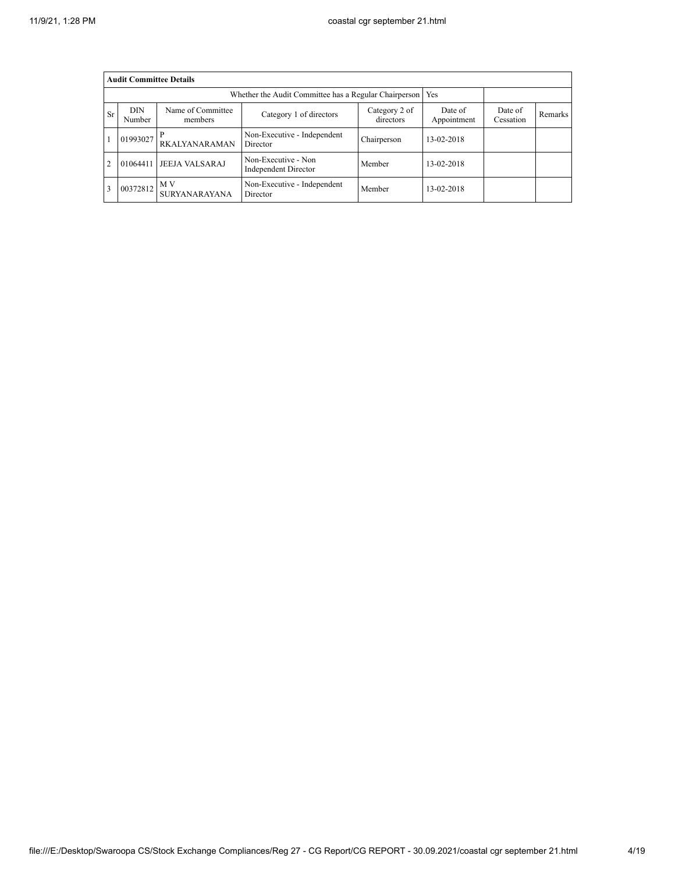|                | <b>Audit Committee Details</b> |                              |                                                             |                            |                        |                      |         |  |  |
|----------------|--------------------------------|------------------------------|-------------------------------------------------------------|----------------------------|------------------------|----------------------|---------|--|--|
|                |                                |                              | Whether the Audit Committee has a Regular Chairperson   Yes |                            |                        |                      |         |  |  |
| Sr             | <b>DIN</b><br>Number           | Name of Committee<br>members | Category 1 of directors                                     | Category 2 of<br>directors | Date of<br>Appointment | Date of<br>Cessation | Remarks |  |  |
|                | 01993027                       | <b>RKALYANARAMAN</b>         | Non-Executive - Independent<br>Director                     | Chairperson                | 13-02-2018             |                      |         |  |  |
| $\overline{c}$ | 01064411                       | <b>JEEJA VALSARAJ</b>        | Non-Executive - Non<br>Independent Director                 | Member                     | 13-02-2018             |                      |         |  |  |
| 3              | 00372812                       | M V<br>SURYANARAYANA         | Non-Executive - Independent<br>Director                     | Member                     | 13-02-2018             |                      |         |  |  |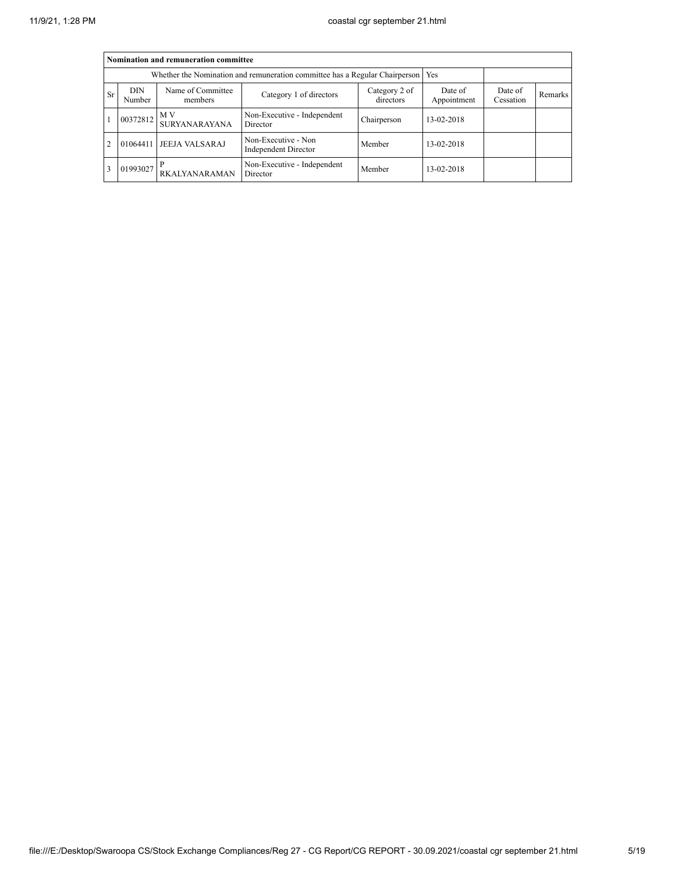|                | Nomination and remuneration committee |                              |                                                                                   |                            |                        |                      |         |  |  |  |
|----------------|---------------------------------------|------------------------------|-----------------------------------------------------------------------------------|----------------------------|------------------------|----------------------|---------|--|--|--|
|                |                                       |                              | Whether the Nomination and remuneration committee has a Regular Chairperson   Yes |                            |                        |                      |         |  |  |  |
| Sr             | <b>DIN</b><br>Number                  | Name of Committee<br>members | Category 1 of directors                                                           | Category 2 of<br>directors | Date of<br>Appointment | Date of<br>Cessation | Remarks |  |  |  |
|                | 00372812                              | M V<br><b>SURYANARAYANA</b>  | Non-Executive - Independent<br>Director                                           | Chairperson                | 13-02-2018             |                      |         |  |  |  |
| $\overline{2}$ | 01064411                              | <b>JEEJA VALSARAJ</b>        | Non-Executive - Non<br>Independent Director                                       | Member                     | 13-02-2018             |                      |         |  |  |  |
| 3              | 01993027                              | RKALYANARAMAN                | Non-Executive - Independent<br>Director                                           | Member                     | 13-02-2018             |                      |         |  |  |  |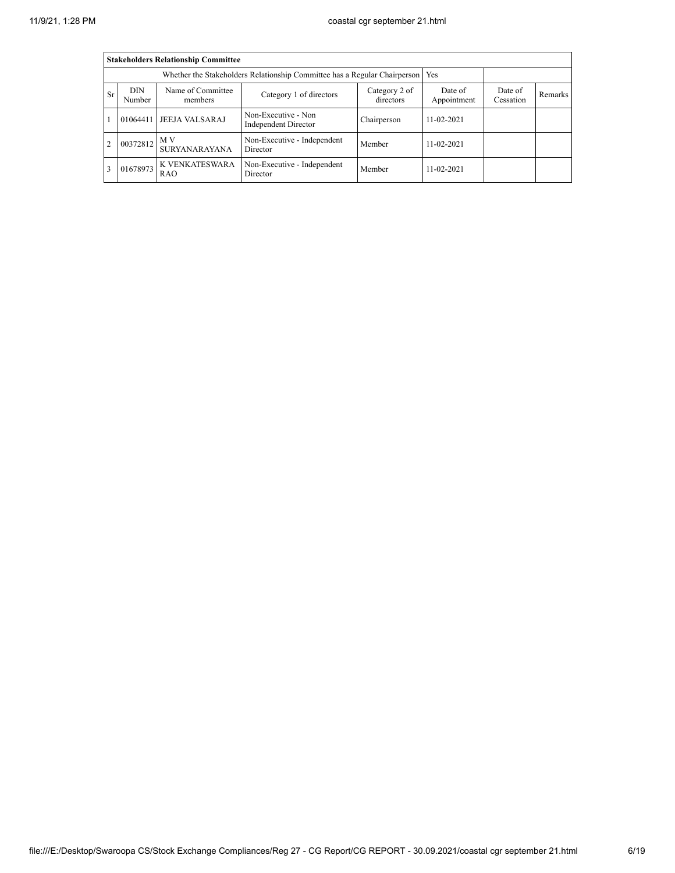|    | <b>Stakeholders Relationship Committee</b> |                              |                                                                                 |                            |                        |                      |         |  |  |  |
|----|--------------------------------------------|------------------------------|---------------------------------------------------------------------------------|----------------------------|------------------------|----------------------|---------|--|--|--|
|    |                                            |                              | Whether the Stakeholders Relationship Committee has a Regular Chairperson   Yes |                            |                        |                      |         |  |  |  |
| Sr | <b>DIN</b><br>Number                       | Name of Committee<br>members | Category 1 of directors                                                         | Category 2 of<br>directors | Date of<br>Appointment | Date of<br>Cessation | Remarks |  |  |  |
|    | 01064411                                   | <b>JEEJA VALSARAJ</b>        | Non-Executive - Non<br>Independent Director                                     | Chairperson                | $11 - 02 - 2021$       |                      |         |  |  |  |
| 2  | 00372812                                   | M V<br><b>SURYANARAYANA</b>  | Non-Executive - Independent<br>Director                                         | Member                     | $11 - 02 - 2021$       |                      |         |  |  |  |
| 3  | 01678973                                   | K VENKATESWARA<br><b>RAO</b> | Non-Executive - Independent<br>Director                                         | Member                     | 11-02-2021             |                      |         |  |  |  |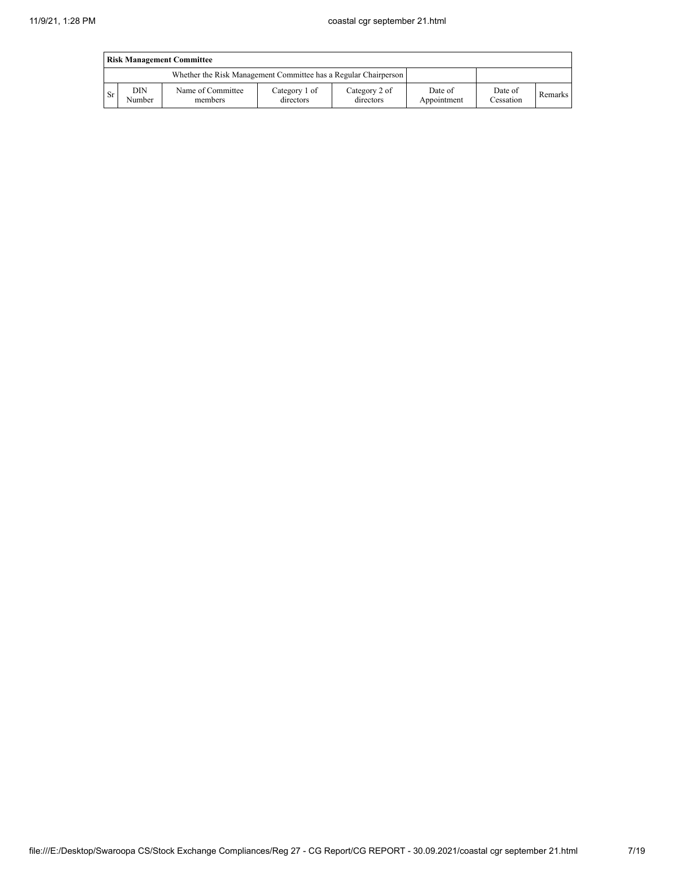|      | <b>Risk Management Committee</b> |                                                                 |                            |                            |                        |                      |         |  |  |
|------|----------------------------------|-----------------------------------------------------------------|----------------------------|----------------------------|------------------------|----------------------|---------|--|--|
|      |                                  | Whether the Risk Management Committee has a Regular Chairperson |                            |                            |                        |                      |         |  |  |
| - Sr | DIN<br>Number                    | Name of Committee<br>members                                    | Category 1 of<br>directors | Category 2 of<br>directors | Date of<br>Appointment | Date of<br>Cessation | Remarks |  |  |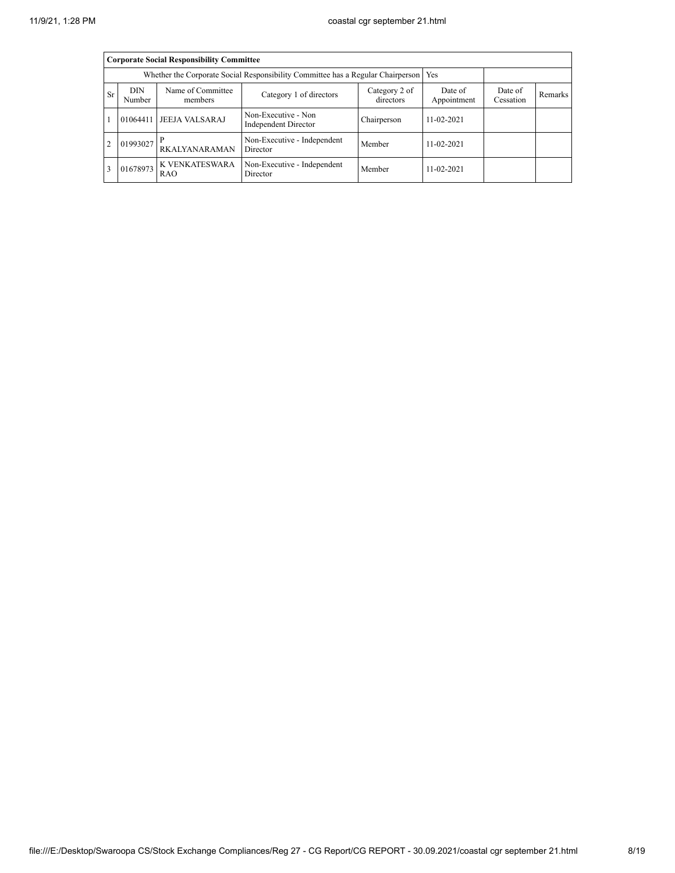|                | <b>Corporate Social Responsibility Committee</b> |                              |                                                                                       |                            |                        |                      |         |  |  |  |
|----------------|--------------------------------------------------|------------------------------|---------------------------------------------------------------------------------------|----------------------------|------------------------|----------------------|---------|--|--|--|
|                |                                                  |                              | Whether the Corporate Social Responsibility Committee has a Regular Chairperson   Yes |                            |                        |                      |         |  |  |  |
| Sr             | <b>DIN</b><br>Number                             | Name of Committee<br>members | Category 1 of directors                                                               | Category 2 of<br>directors | Date of<br>Appointment | Date of<br>Cessation | Remarks |  |  |  |
|                | 01064411                                         | <b>JEEJA VALSARAJ</b>        | Non-Executive - Non<br>Independent Director                                           | Chairperson                | $11 - 02 - 2021$       |                      |         |  |  |  |
| $\overline{2}$ | 01993027                                         | RKALYANARAMAN                | Non-Executive - Independent<br>Director                                               | Member                     | $11 - 02 - 2021$       |                      |         |  |  |  |
| 3              | 01678973                                         | K VENKATESWARA<br><b>RAO</b> | Non-Executive - Independent<br>Director                                               | Member                     | $11 - 02 - 2021$       |                      |         |  |  |  |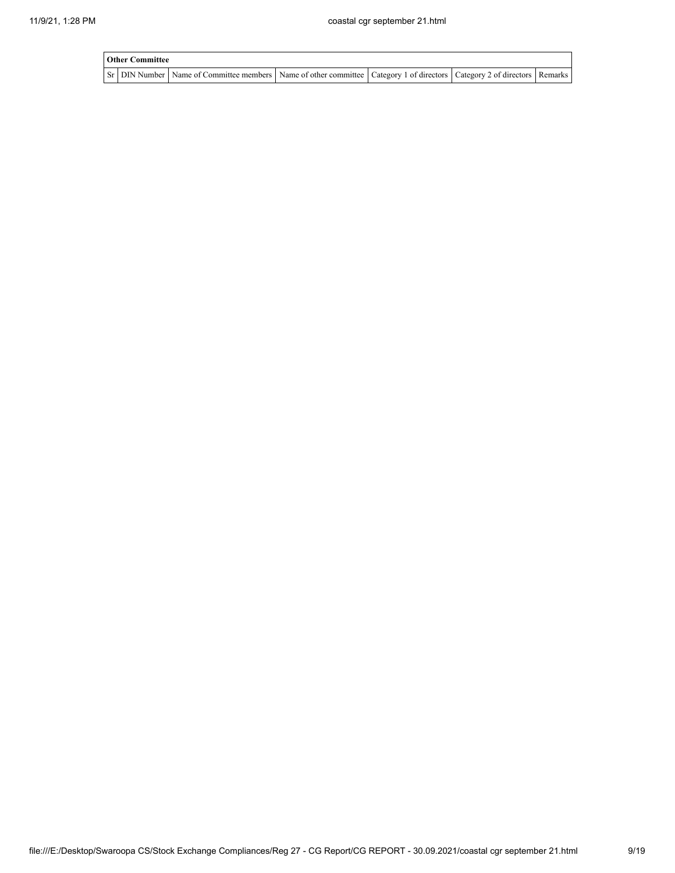| <b>Other Committee</b> |                                                                                                                         |  |  |
|------------------------|-------------------------------------------------------------------------------------------------------------------------|--|--|
|                        | Sr DIN Number Name of Committee members Name of other committee Category 1 of directors Category 2 of directors Remarks |  |  |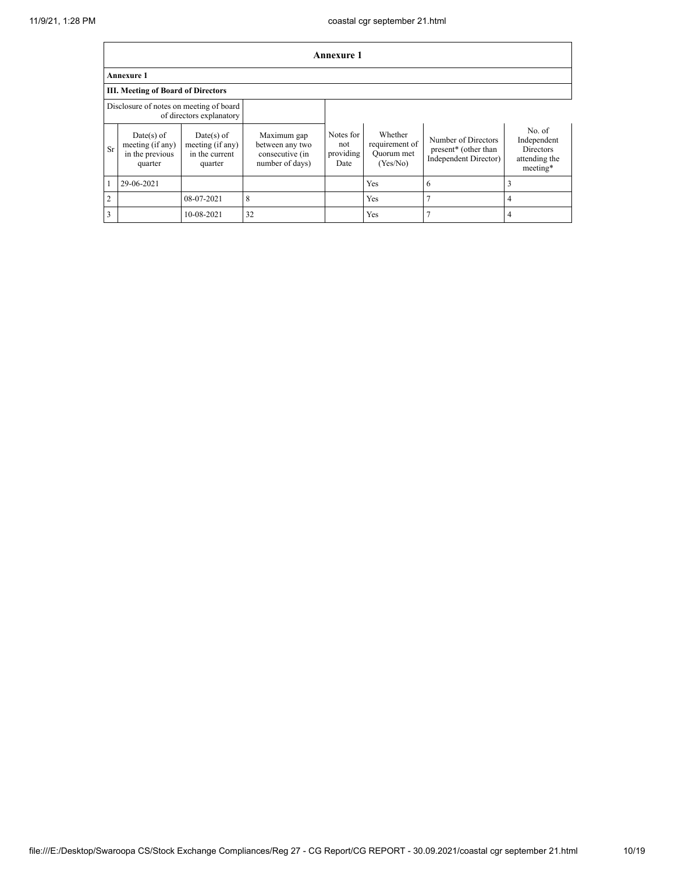|                | <b>Annexure 1</b>                                              |                                                               |                                                                      |                                       |                                                     |                                                                                  |                                                                        |  |  |
|----------------|----------------------------------------------------------------|---------------------------------------------------------------|----------------------------------------------------------------------|---------------------------------------|-----------------------------------------------------|----------------------------------------------------------------------------------|------------------------------------------------------------------------|--|--|
|                | Annexure 1                                                     |                                                               |                                                                      |                                       |                                                     |                                                                                  |                                                                        |  |  |
|                | <b>III. Meeting of Board of Directors</b>                      |                                                               |                                                                      |                                       |                                                     |                                                                                  |                                                                        |  |  |
|                | Disclosure of notes on meeting of board                        | of directors explanatory                                      |                                                                      |                                       |                                                     |                                                                                  |                                                                        |  |  |
| <b>Sr</b>      | $Date(s)$ of<br>meeting (if any)<br>in the previous<br>quarter | $Date(s)$ of<br>meeting (if any)<br>in the current<br>quarter | Maximum gap<br>between any two<br>consecutive (in<br>number of days) | Notes for<br>not<br>providing<br>Date | Whether<br>requirement of<br>Quorum met<br>(Yes/No) | Number of Directors<br>present <sup>*</sup> (other than<br>Independent Director) | No. of<br>Independent<br><b>Directors</b><br>attending the<br>meeting* |  |  |
|                | 29-06-2021                                                     |                                                               |                                                                      |                                       | Yes                                                 | 6                                                                                | 3                                                                      |  |  |
| $\overline{2}$ |                                                                | 08-07-2021                                                    | 8                                                                    |                                       | Yes                                                 | 7                                                                                | 4                                                                      |  |  |
| 3              |                                                                | 10-08-2021                                                    | 32                                                                   |                                       | Yes                                                 | 7                                                                                | $\overline{4}$                                                         |  |  |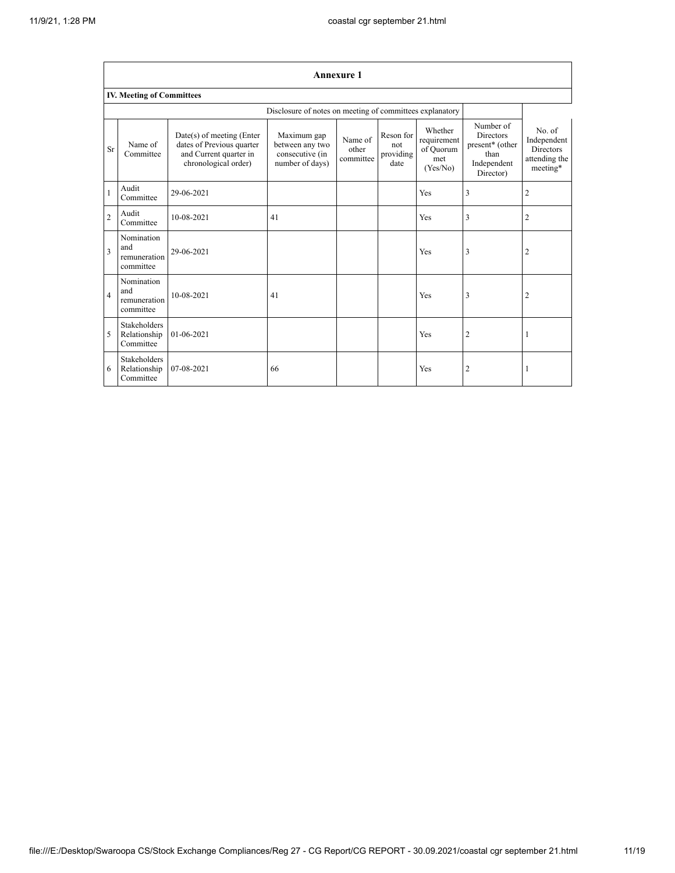|                | <b>Annexure 1</b>                                |                                                                                                          |                                                                      |                               |                                       |                                                        |                                                                                      |                                                                        |
|----------------|--------------------------------------------------|----------------------------------------------------------------------------------------------------------|----------------------------------------------------------------------|-------------------------------|---------------------------------------|--------------------------------------------------------|--------------------------------------------------------------------------------------|------------------------------------------------------------------------|
|                | <b>IV. Meeting of Committees</b>                 |                                                                                                          |                                                                      |                               |                                       |                                                        |                                                                                      |                                                                        |
|                |                                                  |                                                                                                          | Disclosure of notes on meeting of committees explanatory             |                               |                                       |                                                        |                                                                                      |                                                                        |
| <b>Sr</b>      | Name of<br>Committee                             | Date(s) of meeting (Enter<br>dates of Previous quarter<br>and Current quarter in<br>chronological order) | Maximum gap<br>between any two<br>consecutive (in<br>number of days) | Name of<br>other<br>committee | Reson for<br>not<br>providing<br>date | Whether<br>requirement<br>of Quorum<br>met<br>(Yes/No) | Number of<br><b>Directors</b><br>present* (other<br>than<br>Independent<br>Director) | No. of<br>Independent<br><b>Directors</b><br>attending the<br>meeting* |
| $\mathbf{1}$   | Audit<br>Committee                               | 29-06-2021                                                                                               |                                                                      |                               |                                       | Yes                                                    | 3                                                                                    | $\overline{2}$                                                         |
| $\overline{2}$ | Audit<br>Committee                               | 10-08-2021                                                                                               | 41                                                                   |                               |                                       | <b>Yes</b>                                             | 3                                                                                    | $\overline{c}$                                                         |
| 3              | Nomination<br>and<br>remuneration<br>committee   | 29-06-2021                                                                                               |                                                                      |                               |                                       | <b>Yes</b>                                             | 3                                                                                    | $\overline{c}$                                                         |
| $\overline{4}$ | Nomination<br>and<br>remuneration<br>committee   | 10-08-2021                                                                                               | 41                                                                   |                               |                                       | Yes                                                    | 3                                                                                    | 2                                                                      |
| 5              | <b>Stakeholders</b><br>Relationship<br>Committee | 01-06-2021                                                                                               |                                                                      |                               |                                       | Yes                                                    | $\overline{c}$                                                                       | 1                                                                      |
| 6              | <b>Stakeholders</b><br>Relationship<br>Committee | 07-08-2021                                                                                               | 66                                                                   |                               |                                       | Yes                                                    | 2                                                                                    | 1                                                                      |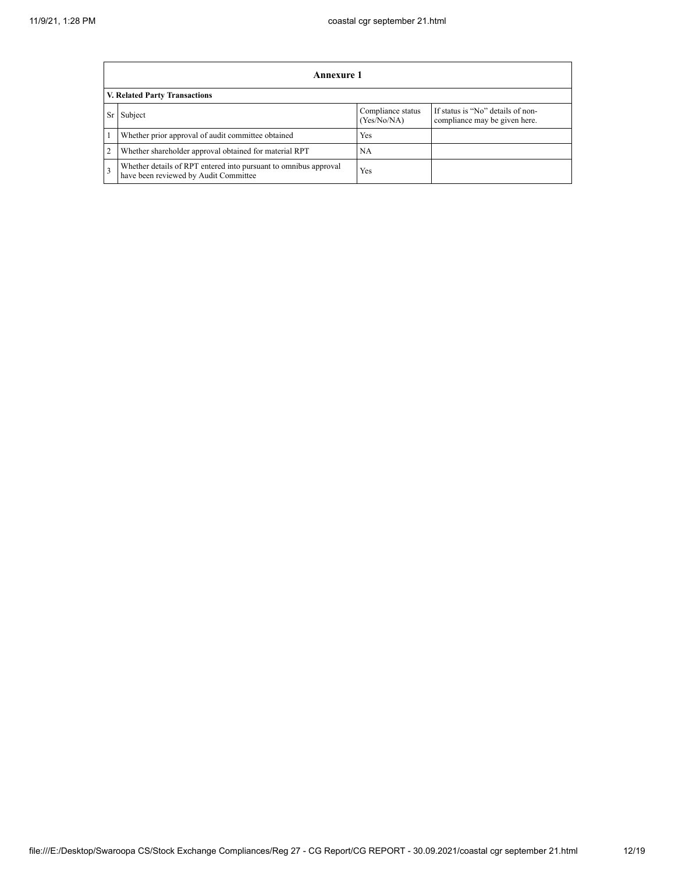|                | Annexure 1                                                                                                |                                  |                                                                    |  |  |  |  |  |
|----------------|-----------------------------------------------------------------------------------------------------------|----------------------------------|--------------------------------------------------------------------|--|--|--|--|--|
|                | V. Related Party Transactions                                                                             |                                  |                                                                    |  |  |  |  |  |
| Sr             | Subject                                                                                                   | Compliance status<br>(Yes/No/NA) | If status is "No" details of non-<br>compliance may be given here. |  |  |  |  |  |
|                | Whether prior approval of audit committee obtained                                                        | Yes                              |                                                                    |  |  |  |  |  |
| $\overline{2}$ | Whether shareholder approval obtained for material RPT                                                    | <b>NA</b>                        |                                                                    |  |  |  |  |  |
| 3              | Whether details of RPT entered into pursuant to omnibus approval<br>have been reviewed by Audit Committee | Yes                              |                                                                    |  |  |  |  |  |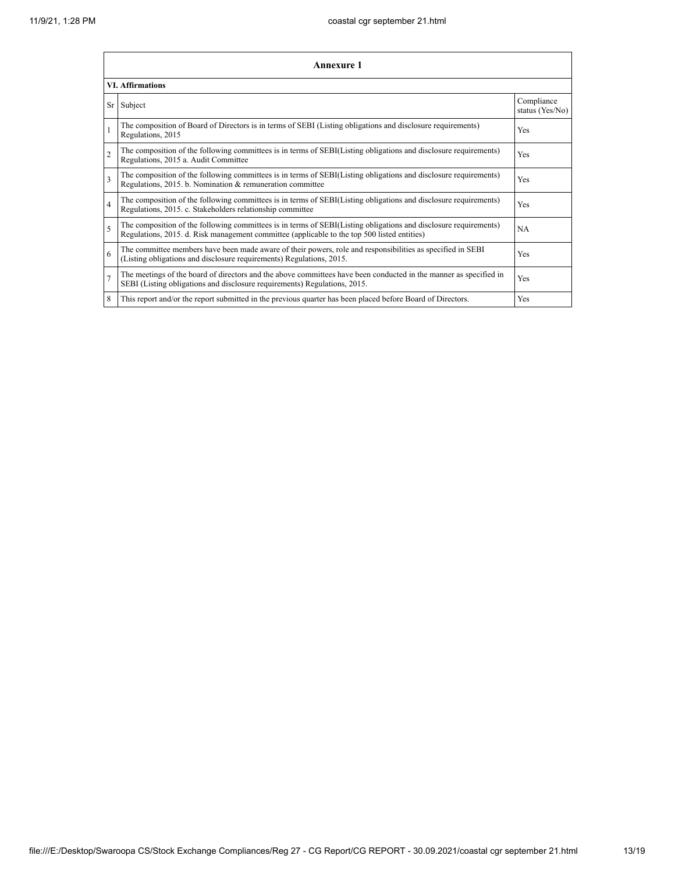|                          | <b>Annexure 1</b>                                                                                                                                                                                               |                               |  |  |
|--------------------------|-----------------------------------------------------------------------------------------------------------------------------------------------------------------------------------------------------------------|-------------------------------|--|--|
|                          | <b>VI. Affirmations</b>                                                                                                                                                                                         |                               |  |  |
| Sr                       | Subject                                                                                                                                                                                                         | Compliance<br>status (Yes/No) |  |  |
| $\mathbf{1}$             | The composition of Board of Directors is in terms of SEBI (Listing obligations and disclosure requirements)<br>Regulations, 2015                                                                                | Yes                           |  |  |
| $\overline{c}$           | The composition of the following committees is in terms of SEBI(Listing obligations and disclosure requirements)<br>Regulations, 2015 a. Audit Committee                                                        | Yes                           |  |  |
| 3                        | The composition of the following committees is in terms of SEBI(Listing obligations and disclosure requirements)<br>Regulations, 2015. b. Nomination & remuneration committee                                   | Yes                           |  |  |
| $\overline{4}$           | The composition of the following committees is in terms of SEBI(Listing obligations and disclosure requirements)<br>Regulations, 2015. c. Stakeholders relationship committee                                   | Yes                           |  |  |
| $\overline{\phantom{0}}$ | The composition of the following committees is in terms of SEBI(Listing obligations and disclosure requirements)<br>Regulations, 2015. d. Risk management committee (applicable to the top 500 listed entities) | NA                            |  |  |
| 6                        | The committee members have been made aware of their powers, role and responsibilities as specified in SEBI<br>(Listing obligations and disclosure requirements) Regulations, 2015.                              | Yes                           |  |  |
| $\overline{7}$           | The meetings of the board of directors and the above committees have been conducted in the manner as specified in<br>SEBI (Listing obligations and disclosure requirements) Regulations, 2015.                  | Yes                           |  |  |
| 8                        | This report and/or the report submitted in the previous quarter has been placed before Board of Directors.                                                                                                      | Yes                           |  |  |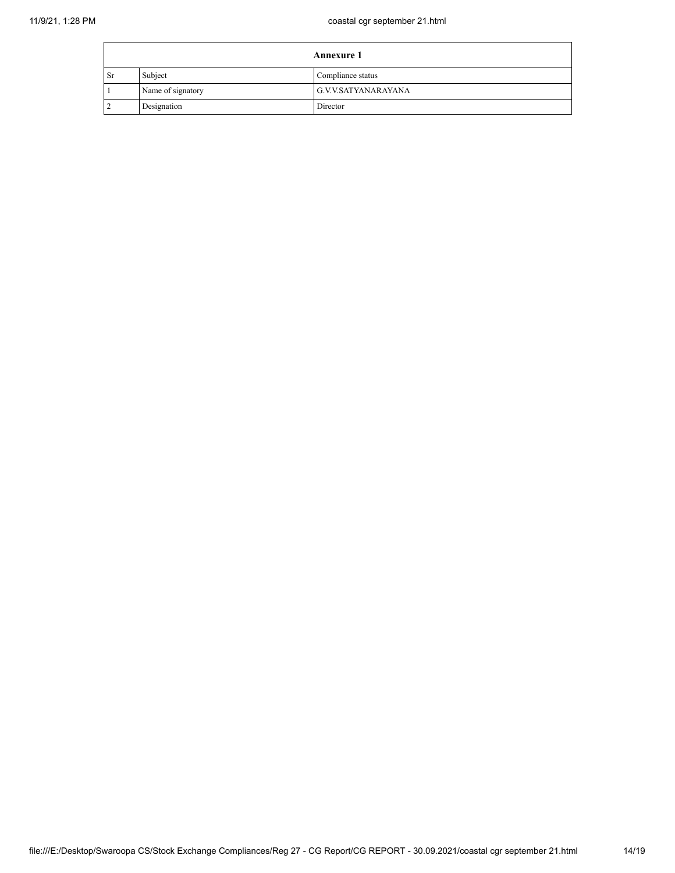| <b>Annexure 1</b> |                   |                     |
|-------------------|-------------------|---------------------|
| <b>Sr</b>         | Subject           | Compliance status   |
|                   | Name of signatory | G.V.V.SATYANARAYANA |
|                   | Designation       | Director            |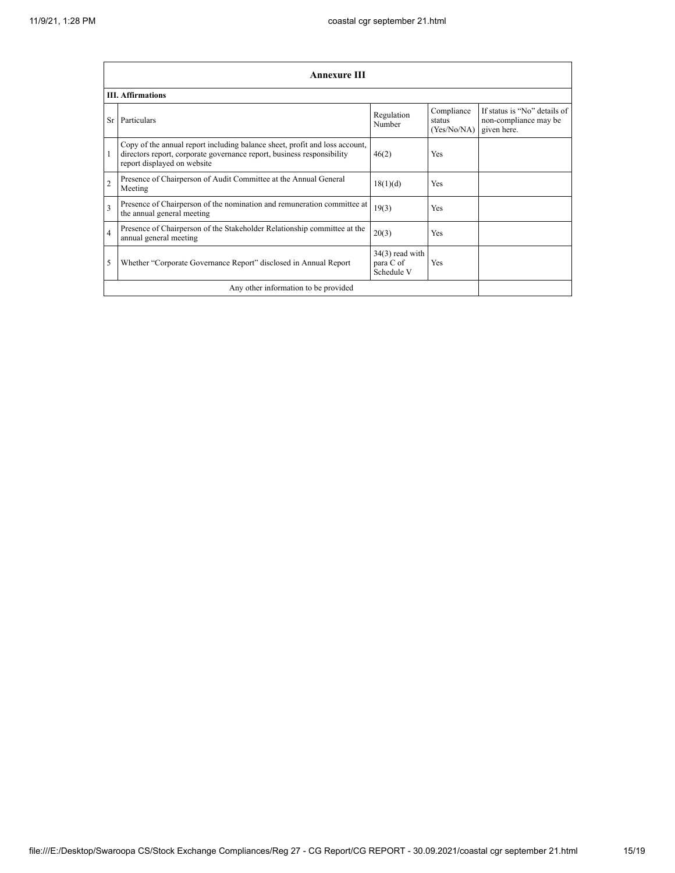|                         | Annexure III                                                                                                                                                                         |                                              |                                     |                                                                      |
|-------------------------|--------------------------------------------------------------------------------------------------------------------------------------------------------------------------------------|----------------------------------------------|-------------------------------------|----------------------------------------------------------------------|
|                         | <b>III.</b> Affirmations                                                                                                                                                             |                                              |                                     |                                                                      |
| Sr.                     | Particulars                                                                                                                                                                          | Regulation<br>Number                         | Compliance<br>status<br>(Yes/No/NA) | If status is "No" details of<br>non-compliance may be<br>given here. |
| 1                       | Copy of the annual report including balance sheet, profit and loss account,<br>directors report, corporate governance report, business responsibility<br>report displayed on website | 46(2)                                        | Yes                                 |                                                                      |
| $\overline{2}$          | Presence of Chairperson of Audit Committee at the Annual General<br>Meeting                                                                                                          | 18(1)(d)                                     | <b>Yes</b>                          |                                                                      |
| $\overline{\mathbf{3}}$ | Presence of Chairperson of the nomination and remuneration committee at<br>the annual general meeting                                                                                | 19(3)                                        | <b>Yes</b>                          |                                                                      |
| $\overline{4}$          | Presence of Chairperson of the Stakeholder Relationship committee at the<br>annual general meeting                                                                                   | 20(3)                                        | <b>Yes</b>                          |                                                                      |
| 5                       | Whether "Corporate Governance Report" disclosed in Annual Report                                                                                                                     | $34(3)$ read with<br>para C of<br>Schedule V | Yes                                 |                                                                      |
|                         | Any other information to be provided                                                                                                                                                 |                                              |                                     |                                                                      |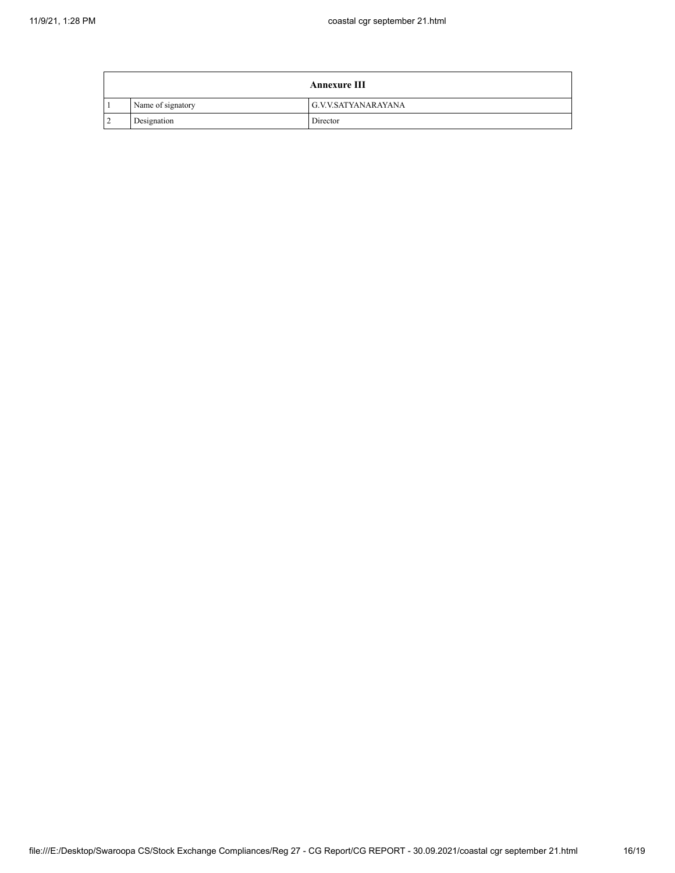|   |                   | <b>Annexure III</b> |
|---|-------------------|---------------------|
|   | Name of signatory | G.V.V.SATYANARAYANA |
| 2 | Designation       | Director            |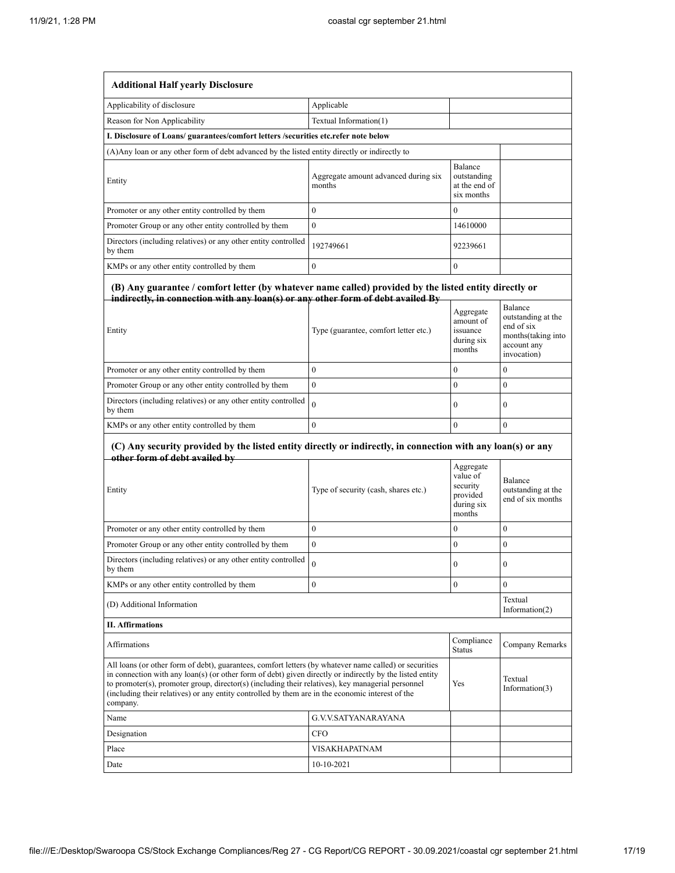| <b>Additional Half yearly Disclosure</b>                                                                                                                                                                                                                                                                                                                                                                                                |                                                |                                                            |                                                                                      |
|-----------------------------------------------------------------------------------------------------------------------------------------------------------------------------------------------------------------------------------------------------------------------------------------------------------------------------------------------------------------------------------------------------------------------------------------|------------------------------------------------|------------------------------------------------------------|--------------------------------------------------------------------------------------|
| Applicability of disclosure                                                                                                                                                                                                                                                                                                                                                                                                             | Applicable                                     |                                                            |                                                                                      |
| Reason for Non Applicability                                                                                                                                                                                                                                                                                                                                                                                                            | Textual Information(1)                         |                                                            |                                                                                      |
| I. Disclosure of Loans/ guarantees/comfort letters /securities etc.refer note below                                                                                                                                                                                                                                                                                                                                                     |                                                |                                                            |                                                                                      |
| (A) Any loan or any other form of debt advanced by the listed entity directly or indirectly to                                                                                                                                                                                                                                                                                                                                          |                                                |                                                            |                                                                                      |
| Entity                                                                                                                                                                                                                                                                                                                                                                                                                                  | Aggregate amount advanced during six<br>months | Balance<br>outstanding<br>at the end of<br>six months      |                                                                                      |
| Promoter or any other entity controlled by them                                                                                                                                                                                                                                                                                                                                                                                         | $\overline{0}$                                 | $\Omega$                                                   |                                                                                      |
| Promoter Group or any other entity controlled by them                                                                                                                                                                                                                                                                                                                                                                                   | $\theta$                                       | 14610000                                                   |                                                                                      |
| Directors (including relatives) or any other entity controlled<br>by them                                                                                                                                                                                                                                                                                                                                                               | 192749661                                      | 92239661                                                   |                                                                                      |
| KMPs or any other entity controlled by them                                                                                                                                                                                                                                                                                                                                                                                             | 0                                              | $\boldsymbol{0}$                                           |                                                                                      |
| (B) Any guarantee / comfort letter (by whatever name called) provided by the listed entity directly or<br>indirectly, in connection with any loan(s) or any other form of debt availed By                                                                                                                                                                                                                                               |                                                |                                                            | Balance                                                                              |
| Entity                                                                                                                                                                                                                                                                                                                                                                                                                                  | Type (guarantee, comfort letter etc.)          | Aggregate<br>amount of<br>issuance<br>during six<br>months | outstanding at the<br>end of six<br>months(taking into<br>account any<br>invocation) |
| Promoter or any other entity controlled by them                                                                                                                                                                                                                                                                                                                                                                                         | $\Omega$                                       | $\theta$                                                   | $\mathbf{0}$                                                                         |
| Promoter Group or any other entity controlled by them                                                                                                                                                                                                                                                                                                                                                                                   | $\mathbf{0}$                                   | $\overline{0}$                                             | $\mathbf{0}$                                                                         |
| Directors (including relatives) or any other entity controlled<br>by them                                                                                                                                                                                                                                                                                                                                                               | $\theta$                                       | $\mathbf{0}$                                               | $\bf{0}$                                                                             |
| KMPs or any other entity controlled by them                                                                                                                                                                                                                                                                                                                                                                                             | $\overline{0}$                                 | $\overline{0}$                                             | $\mathbf{0}$                                                                         |
| (C) Any security provided by the listed entity directly or indirectly, in connection with any loan(s) or any                                                                                                                                                                                                                                                                                                                            |                                                |                                                            |                                                                                      |
| other form of debt availed by                                                                                                                                                                                                                                                                                                                                                                                                           |                                                | Aggregate<br>value of                                      |                                                                                      |
| Entity                                                                                                                                                                                                                                                                                                                                                                                                                                  | Type of security (cash, shares etc.)           | security<br>provided                                       | Balance<br>outstanding at the<br>end of six months                                   |
|                                                                                                                                                                                                                                                                                                                                                                                                                                         |                                                | during six<br>months                                       |                                                                                      |
| Promoter or any other entity controlled by them                                                                                                                                                                                                                                                                                                                                                                                         | $\mathbf{0}$                                   | $\overline{0}$                                             | $\mathbf{0}$                                                                         |
| Promoter Group or any other entity controlled by them                                                                                                                                                                                                                                                                                                                                                                                   | $\overline{0}$                                 | $\overline{0}$                                             | $\boldsymbol{0}$                                                                     |
| Directors (including relatives) or any other entity controlled<br>by them                                                                                                                                                                                                                                                                                                                                                               | 0                                              | $\mathbf{0}$                                               | $\bf{0}$                                                                             |
| KMPs or any other entity controlled by them                                                                                                                                                                                                                                                                                                                                                                                             | $\overline{0}$                                 | $\overline{0}$                                             | $\overline{0}$                                                                       |
| (D) Additional Information                                                                                                                                                                                                                                                                                                                                                                                                              |                                                |                                                            | Textual<br>Information(2)                                                            |
| <b>II. Affirmations</b>                                                                                                                                                                                                                                                                                                                                                                                                                 |                                                |                                                            |                                                                                      |
| <b>Affirmations</b>                                                                                                                                                                                                                                                                                                                                                                                                                     |                                                | Compliance<br><b>Status</b>                                | Company Remarks                                                                      |
| All loans (or other form of debt), guarantees, comfort letters (by whatever name called) or securities<br>in connection with any loan(s) (or other form of debt) given directly or indirectly by the listed entity<br>to promoter(s), promoter group, director(s) (including their relatives), key managerial personnel<br>(including their relatives) or any entity controlled by them are in the economic interest of the<br>company. |                                                | Yes                                                        | Textual<br>Information(3)                                                            |
| Name                                                                                                                                                                                                                                                                                                                                                                                                                                    | G.V.V.SATYANARAYANA                            |                                                            |                                                                                      |
| Designation                                                                                                                                                                                                                                                                                                                                                                                                                             | CFO                                            |                                                            |                                                                                      |
| Place                                                                                                                                                                                                                                                                                                                                                                                                                                   | VISAKHAPATNAM                                  |                                                            |                                                                                      |